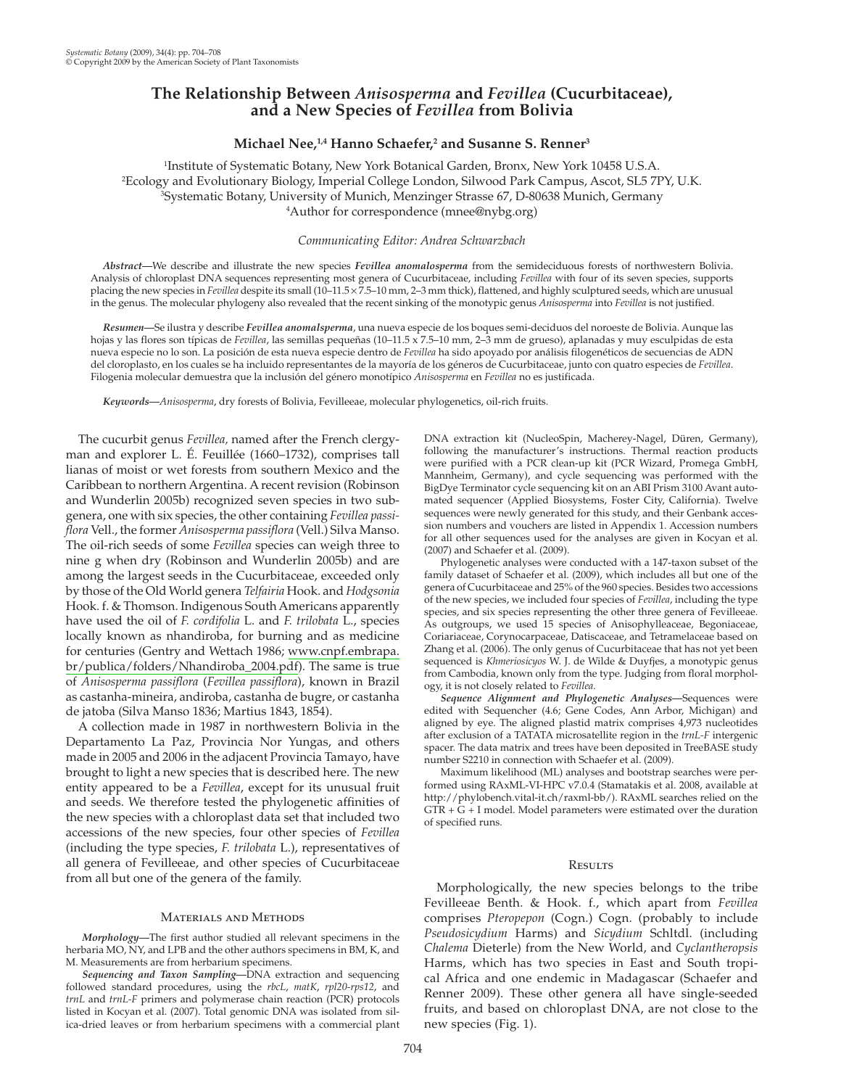# The Relationship Between Anisosperma and Fevillea (Cucurbitaceae), and a New Species of Fevillea from Bolivia

## Michael Nee,<sup>1,4</sup> Hanno Schaefer,<sup>2</sup> and Susanne S. Renner<sup>3</sup>

<sup>1</sup>Institute of Systematic Botany, New York Botanical Garden, Bronx, New York 10458 U.S.A. <sup>2</sup>Ecology and Evolutionary Biology, Imperial College London, Silwood Park Campus, Ascot, SL5 7PY, U.K. <sup>3</sup>Systematic Botany, University of Munich, Menzinger Strasse 67, D-80638 Munich, Germany <sup>4</sup>Author for correspondence (mnee@nybg.org)

## Communicating Editor: Andrea Schwarzbach

Abstract—We describe and illustrate the new species Fevillea anomalosperma from the semideciduous forests of northwestern Bolivia. Analysis of chloroplast DNA sequences representing most genera of Cucurbitaceae, including Fevillea with four of its seven species, supports placing the new species in Fevillea despite its small (10-11.5 × 7.5-10 mm, 2-3 mm thick), flattened, and highly sculptured seeds, which are unusual in the genus. The molecular phylogeny also revealed that the recent sinking of the monotypic genus Anisosperma into Fevillea is not justified.

Resumen-Se ilustra y describe Fevillea anomalsperma, una nueva especie de los boques semi-deciduos del noroeste de Bolivia. Aunque las hojas y las flores son típicas de Fevillea, las semillas pequeñas (10-11.5 x 7.5-10 mm, 2-3 mm de grueso), aplanadas y muy esculpidas de esta nueva especie no lo son. La posición de esta nueva especie dentro de Fevillea ha sido apoyado por análisis filogenéticos de secuencias de ADN del cloroplasto, en los cuales se ha incluido representantes de la mayoría de los géneros de Cucurbitaceae, junto con quatro especies de Fevillea. Filogenia molecular demuestra que la inclusión del género monotípico Anisosperma en Fevillea no es justificada.

Keywords-Anisosperma, dry forests of Bolivia, Fevilleeae, molecular phylogenetics, oil-rich fruits.

The cucurbit genus Fevillea, named after the French clergyman and explorer L. É. Feuillée (1660-1732), comprises tall lianas of moist or wet forests from southern Mexico and the Caribbean to northern Argentina. A recent revision (Robinson and Wunderlin 2005b) recognized seven species in two subgenera, one with six species, the other containing Fevillea passiflora Vell., the former Anisosperma passiflora (Vell.) Silva Manso. The oil-rich seeds of some Fevillea species can weigh three to nine g when dry (Robinson and Wunderlin 2005b) and are among the largest seeds in the Cucurbitaceae, exceeded only by those of the Old World genera Telfairia Hook. and Hodgsonia Hook. f. & Thomson. Indigenous South Americans apparently have used the oil of F. cordifolia L. and F. trilobata L., species locally known as nhandiroba, for burning and as medicine for centuries (Gentry and Wettach 1986; www.cnpf.embrapa. br/publica/folders/Nhandiroba\_2004.pdf). The same is true of Anisosperma passiflora (Fevillea passiflora), known in Brazil as castanha-mineira, andiroba, castanha de bugre, or castanha de jatoba (Silva Manso 1836; Martius 1843, 1854).

A collection made in 1987 in northwestern Bolivia in the Departamento La Paz, Provincia Nor Yungas, and others made in 2005 and 2006 in the adjacent Provincia Tamayo, have brought to light a new species that is described here. The new entity appeared to be a Fevillea, except for its unusual fruit and seeds. We therefore tested the phylogenetic affinities of the new species with a chloroplast data set that included two accessions of the new species, four other species of Fevillea (including the type species, F. trilobata L.), representatives of all genera of Fevilleeae, and other species of Cucurbitaceae from all but one of the genera of the family.

#### **MATERIALS AND METHODS**

Morphology-The first author studied all relevant specimens in the herbaria MO, NY, and LPB and the other authors specimens in BM, K, and M. Measurements are from herbarium specimens.

Sequencing and Taxon Sampling-DNA extraction and sequencing followed standard procedures, using the rbcL, matK, rpl20-rps12, and trnL and trnL-F primers and polymerase chain reaction (PCR) protocols listed in Kocyan et al. (2007). Total genomic DNA was isolated from silica-dried leaves or from herbarium specimens with a commercial plant DNA extraction kit (NucleoSpin, Macherey-Nagel, Düren, Germany), following the manufacturer's instructions. Thermal reaction products were purified with a PCR clean-up kit (PCR Wizard, Promega GmbH, Mannheim, Germany), and cycle sequencing was performed with the BigDye Terminator cycle sequencing kit on an ABI Prism 3100 Avant automated sequencer (Applied Biosystems, Foster City, California). Twelve sequences were newly generated for this study, and their Genbank accession numbers and vouchers are listed in Appendix 1. Accession numbers for all other sequences used for the analyses are given in Kocyan et al. (2007) and Schaefer et al. (2009).

Phylogenetic analyses were conducted with a 147-taxon subset of the family dataset of Schaefer et al. (2009), which includes all but one of the genera of Cucurbitaceae and 25% of the 960 species. Besides two accessions of the new species, we included four species of Fevillea, including the type species, and six species representing the other three genera of Fevilleeae. As outgroups, we used 15 species of Anisophylleaceae, Begoniaceae, Coriariaceae, Corynocarpaceae, Datiscaceae, and Tetramelaceae based on Zhang et al. (2006). The only genus of Cucurbitaceae that has not yet been sequenced is *Khmeriosicuos* W. J. de Wilde & Duyfies, a monotypic genus from Cambodia, known only from the type. Judging from floral morphology, it is not closely related to Fevillea.

Sequence Alignment and Phylogenetic Analyses-Sequences were edited with Sequencher (4.6; Gene Codes, Ann Arbor, Michigan) and aligned by eye. The aligned plastid matrix comprises 4,973 nucleotides after exclusion of a TATATA microsatellite region in the trnL-F intergenic spacer. The data matrix and trees have been deposited in TreeBASE study number S2210 in connection with Schaefer et al. (2009).

Maximum likelihood (ML) analyses and bootstrap searches were performed using RAxML-VI-HPC v7.0.4 (Stamatakis et al. 2008, available at http://phylobench.vital-it.ch/raxml-bb/). RAxML searches relied on the  $GTR + G + I$  model. Model parameters were estimated over the duration of specified runs.

### **RESULTS**

Morphologically, the new species belongs to the tribe Fevilleeae Benth. & Hook. f., which apart from Fevillea comprises Pteropepon (Cogn.) Cogn. (probably to include Pseudosicydium Harms) and Sicydium Schltdl. (including Chalema Dieterle) from the New World, and Cyclantheropsis Harms, which has two species in East and South tropical Africa and one endemic in Madagascar (Schaefer and Renner 2009). These other genera all have single-seeded fruits, and based on chloroplast DNA, are not close to the new species (Fig. 1).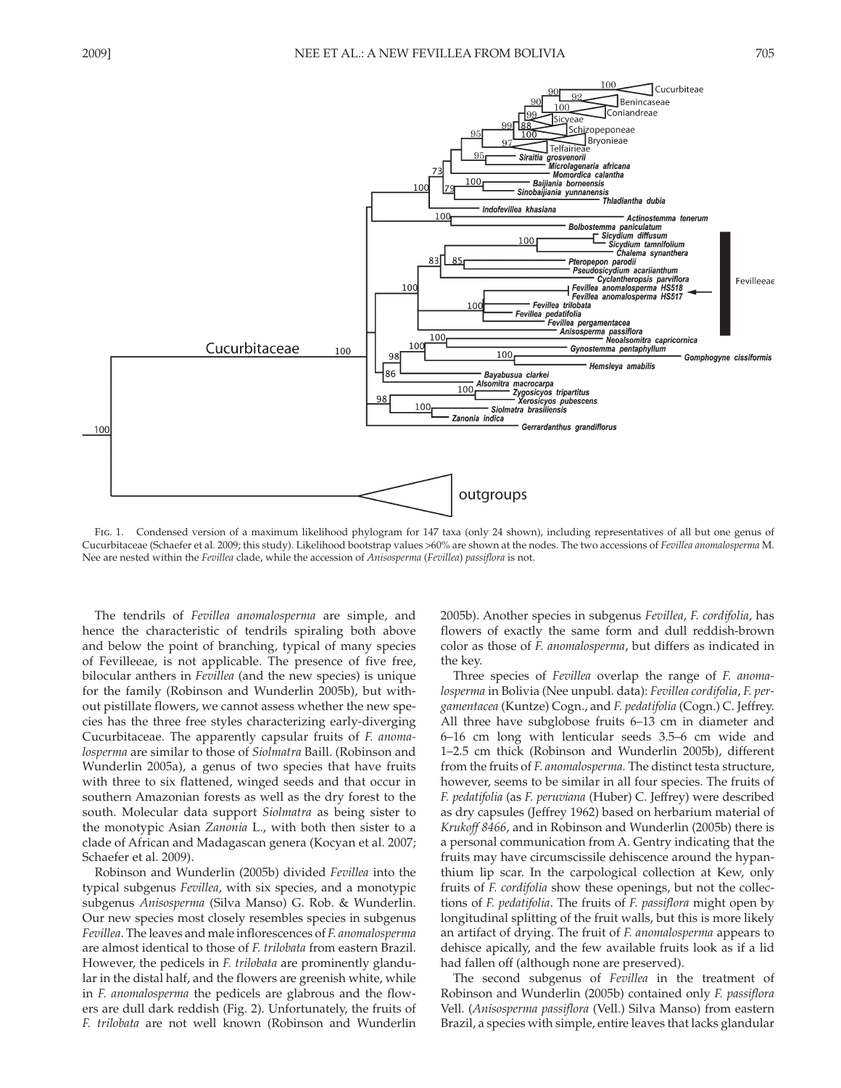

FIG. 1. Condensed version of a maximum likelihood phylogram for 147 taxa (only 24 shown), including representatives of all but one genus of Cucurbitaceae (Schaefer et al. 2009; this study). Likelihood bootstrap values >60% are shown at the nodes. The two accessions of Fevillea anomalosperma M. Nee are nested within the Fevillea clade, while the accession of Anisosperma (Fevillea) passiflora is not.

The tendrils of Fevillea anomalosperma are simple, and hence the characteristic of tendrils spiraling both above and below the point of branching, typical of many species of Fevilleeae, is not applicable. The presence of five free, bilocular anthers in *Fevillea* (and the new species) is unique for the family (Robinson and Wunderlin 2005b), but without pistillate flowers, we cannot assess whether the new species has the three free styles characterizing early-diverging Cucurbitaceae. The apparently capsular fruits of F. anomalosperma are similar to those of Siolmatra Baill. (Robinson and Wunderlin 2005a), a genus of two species that have fruits with three to six flattened, winged seeds and that occur in southern Amazonian forests as well as the dry forest to the south. Molecular data support *Siolmatra* as being sister to the monotypic Asian Zanonia L., with both then sister to a clade of African and Madagascan genera (Kocyan et al. 2007; Schaefer et al. 2009).

Robinson and Wunderlin (2005b) divided Fevillea into the typical subgenus Fevillea, with six species, and a monotypic subgenus Anisosperma (Silva Manso) G. Rob. & Wunderlin. Our new species most closely resembles species in subgenus Fevillea. The leaves and male inflorescences of F. anomalosperma are almost identical to those of F. trilobata from eastern Brazil. However, the pedicels in *F. trilobata* are prominently glandular in the distal half, and the flowers are greenish white, while in F. anomalosperma the pedicels are glabrous and the flowers are dull dark reddish (Fig. 2). Unfortunately, the fruits of F. trilobata are not well known (Robinson and Wunderlin 2005b). Another species in subgenus Fevillea, F. cordifolia, has flowers of exactly the same form and dull reddish-brown color as those of *F. anomalosperma*, but differs as indicated in the key.

Three species of Fevillea overlap the range of F. anomalosperma in Bolivia (Nee unpubl. data): Fevillea cordifolia, F. pergamentacea (Kuntze) Cogn., and F. pedatifolia (Cogn.) C. Jeffrey. All three have subglobose fruits 6–13 cm in diameter and 6-16 cm long with lenticular seeds 3.5-6 cm wide and 1-2.5 cm thick (Robinson and Wunderlin 2005b), different from the fruits of F. anomalosperma. The distinct testa structure, however, seems to be similar in all four species. The fruits of F. pedatifolia (as F. peruviana (Huber) C. Jeffrey) were described as dry capsules (Jeffrey 1962) based on herbarium material of Krukoff 8466, and in Robinson and Wunderlin (2005b) there is a personal communication from A. Gentry indicating that the fruits may have circumscissile dehiscence around the hypanthium lip scar. In the carpological collection at Kew, only fruits of F. cordifolia show these openings, but not the collections of F. pedatifolia. The fruits of F. passiflora might open by longitudinal splitting of the fruit walls, but this is more likely an artifact of drying. The fruit of F. anomalosperma appears to dehisce apically, and the few available fruits look as if a lid had fallen off (although none are preserved).

The second subgenus of *Fevillea* in the treatment of Robinson and Wunderlin (2005b) contained only F. passiflora Vell. (Anisosperma passiflora (Vell.) Silva Manso) from eastern Brazil, a species with simple, entire leaves that lacks glandular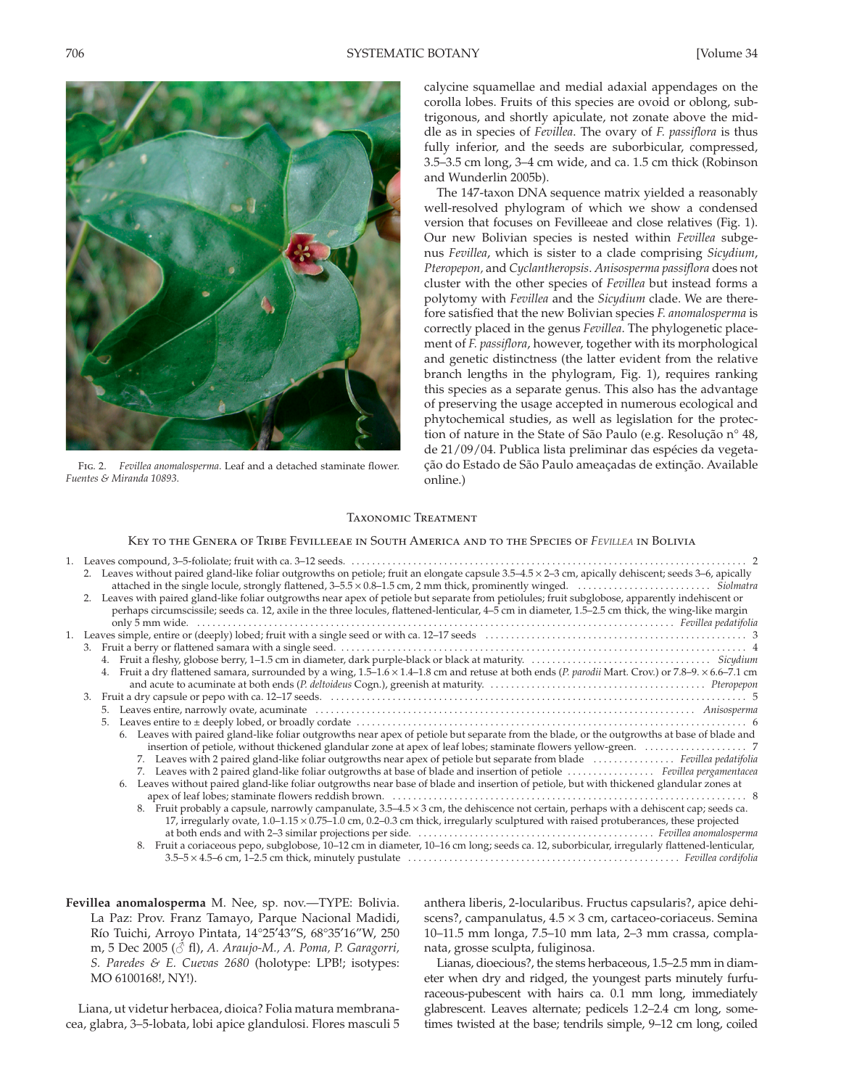

FIG. 2. Fevillea anomalosperma. Leaf and a detached staminate flower. Euentes & Miranda 10893

calycine squamellae and medial adaxial appendages on the corolla lobes. Fruits of this species are ovoid or oblong, subtrigonous, and shortly apiculate, not zonate above the middle as in species of Fevillea. The ovary of F. passiflora is thus fully inferior, and the seeds are suborbicular, compressed, 3.5-3.5 cm long, 3-4 cm wide, and ca. 1.5 cm thick (Robinson and Wunderlin 2005b).

The 147-taxon DNA sequence matrix yielded a reasonably well-resolved phylogram of which we show a condensed version that focuses on Fevilleeae and close relatives (Fig. 1). Our new Bolivian species is nested within Fevillea subgenus Fevillea, which is sister to a clade comprising Sicydium, Pteropepon, and Cyclantheropsis. Anisosperma passiflora does not cluster with the other species of Fevillea but instead forms a polytomy with Fevillea and the Sicydium clade. We are therefore satisfied that the new Bolivian species F. anomalosperma is correctly placed in the genus Fevillea. The phylogenetic placement of F. passiflora, however, together with its morphological and genetic distinctness (the latter evident from the relative branch lengths in the phylogram, Fig. 1), requires ranking this species as a separate genus. This also has the advantage of preserving the usage accepted in numerous ecological and phytochemical studies, as well as legislation for the protection of nature in the State of São Paulo (e.g. Resolução nº 48, de 21/09/04. Publica lista preliminar das espécies da vegetação do Estado de São Paulo ameaçadas de extinção. Available online.)

#### **TAXONOMIC TREATMENT**

### KEY TO THE GENERA OF TRIBE FEVILLEEAE IN SOUTH AMERICA AND TO THE SPECIES OF FEVILLEA IN BOLIVIA

|    | 2. Leaves without paired gland-like foliar outgrowths on petiole; fruit an elongate capsule 3.5-4.5 × 2-3 cm, apically dehiscent; seeds 3-6, apically  |
|----|--------------------------------------------------------------------------------------------------------------------------------------------------------|
|    | 2. Leaves with paired gland-like foliar outgrowths near apex of petiole but separate from petiolules; fruit subglobose, apparently indehiscent or      |
|    | perhaps circumscissile; seeds ca. 12, axile in the three locules, flattened-lenticular, 4–5 cm in diameter, 1.5–2.5 cm thick, the wing-like margin     |
|    |                                                                                                                                                        |
|    |                                                                                                                                                        |
|    |                                                                                                                                                        |
|    | 4.                                                                                                                                                     |
|    | Fruit a dry flattened samara, surrounded by a wing, 1.5–1.6 × 1.4–1.8 cm and retuse at both ends (P. parodii Mart. Crov.) or 7.8–9. × 6.6–7.1 cm<br>4. |
|    |                                                                                                                                                        |
| 3. |                                                                                                                                                        |
|    |                                                                                                                                                        |
|    | 5.                                                                                                                                                     |
|    | 6. Leaves with paired gland-like foliar outgrowths near apex of petiole but separate from the blade, or the outgrowths at base of blade and            |
|    |                                                                                                                                                        |
|    | 7. Leaves with 2 paired gland-like foliar outgrowths near apex of petiole but separate from blade  Fevillea pedatifolia                                |
|    | 7. Leaves with 2 paired gland-like foliar outgrowths at base of blade and insertion of petiole  Fevillea pergamentacea                                 |
|    | Leaves without paired gland-like foliar outgrowths near base of blade and insertion of petiole, but with thickened glandular zones at<br>6.            |
|    |                                                                                                                                                        |
|    | 8. Fruit probably a capsule, narrowly campanulate, $3.5-4.5 \times 3$ cm, the dehiscence not certain, perhaps with a dehiscent cap; seeds ca.          |
|    | 17, irregularly ovate, $1.0-1.15 \times 0.75-1.0$ cm, 0.2-0.3 cm thick, irregularly sculptured with raised protuberances, these projected              |
|    |                                                                                                                                                        |
|    | 8. Fruit a coriaceous pepo, subglobose, 10-12 cm in diameter, 10-16 cm long; seeds ca. 12, suborbicular, irregularly flattened-lenticular,             |
|    |                                                                                                                                                        |

Fevillea anomalosperma M. Nee, sp. nov.-TYPE: Bolivia. La Paz: Prov. Franz Tamayo, Parque Nacional Madidi, Río Tuichi, Arroyo Pintata, 14°25'43"S, 68°35'16"W, 250 m, 5 Dec 2005 (& fl), A. Araujo-M., A. Poma, P. Garagorri, S. Paredes & E. Cuevas 2680 (holotype: LPB!; isotypes: MO 6100168!, NY!).

Liana, ut videtur herbacea, dioica? Folia matura membranacea, glabra, 3-5-lobata, lobi apice glandulosi. Flores masculi 5 anthera liberis, 2-locularibus. Fructus capsularis?, apice dehiscens?, campanulatus,  $4.5 \times 3$  cm, cartaceo-coriaceus. Semina 10-11.5 mm longa, 7.5-10 mm lata, 2-3 mm crassa, complanata, grosse sculpta, fuliginosa.

Lianas, dioecious?, the stems herbaceous, 1.5-2.5 mm in diameter when dry and ridged, the youngest parts minutely furfuraceous-pubescent with hairs ca. 0.1 mm long, immediately glabrescent. Leaves alternate; pedicels 1.2-2.4 cm long, sometimes twisted at the base; tendrils simple, 9–12 cm long, coiled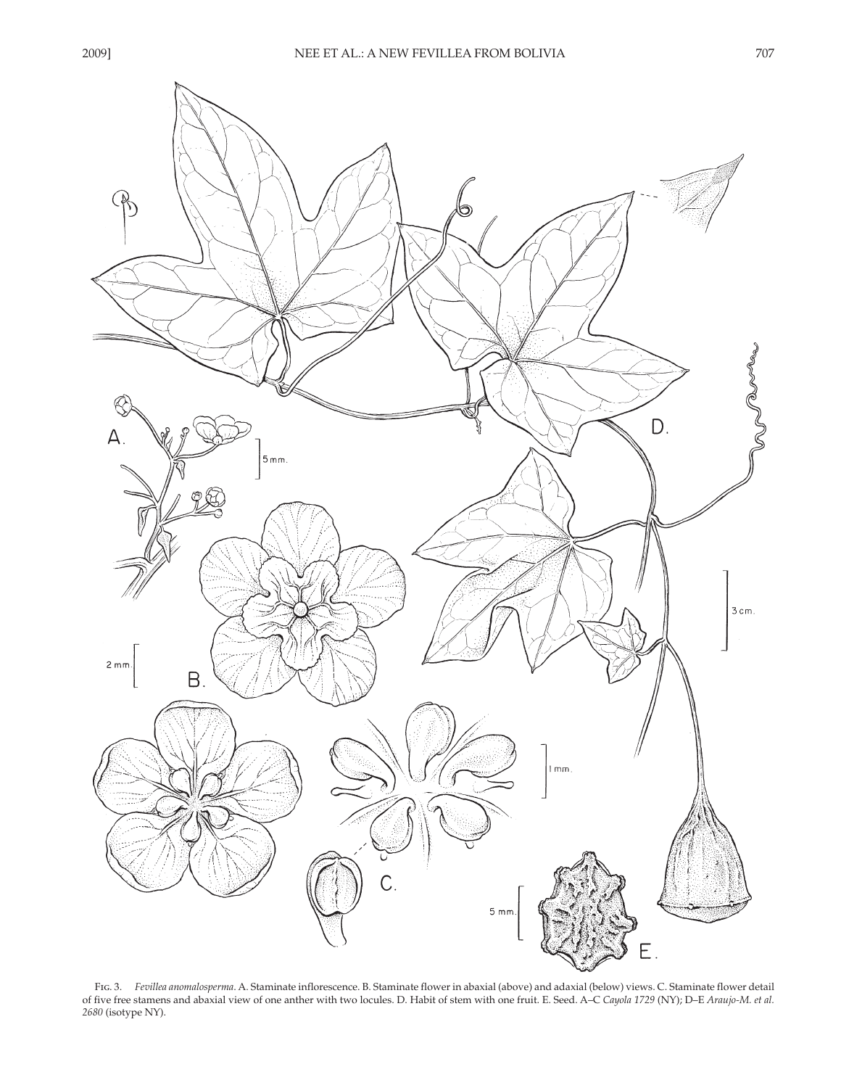

FIG. 3. Fevillea anomalosperma. A. Staminate inflorescence. B. Staminate flower in abaxial (above) and adaxial (below) views. C. Staminate flower detail of five free stamens and abaxial view of one anther with two locules. D. Habit of stem with one fruit. E. Seed. A-C Cayola 1729 (NY); D-E Araujo-M. et al. 2680 (isotype NY).